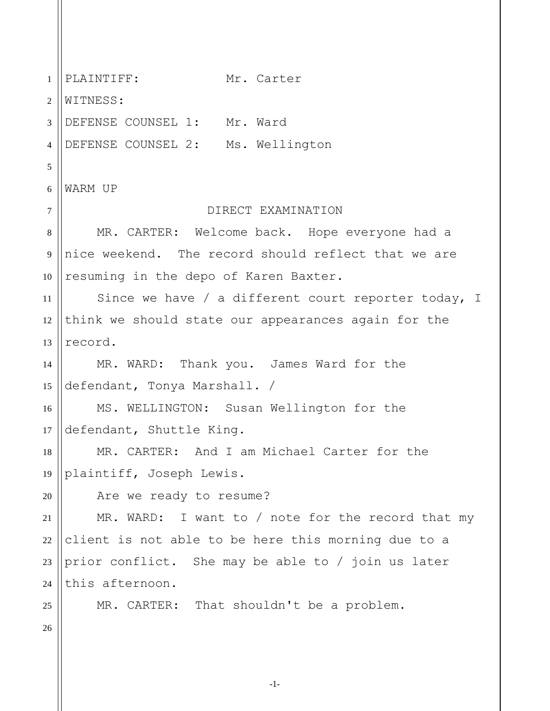1 2 3 4 5 6 7 8 9 10 11 12 13 14 15 16 17 18 19 20 21 22 23 24 25 26 PLAINTIFF: Mr. Carter WITNESS: DEFENSE COUNSEL 1: Mr. Ward DEFENSE COUNSEL 2: Ms. Wellington WARM UP DIRECT EXAMINATION MR. CARTER: Welcome back. Hope everyone had a nice weekend. The record should reflect that we are resuming in the depo of Karen Baxter. Since we have / a different court reporter today, I think we should state our appearances again for the record. MR. WARD: Thank you. James Ward for the defendant, Tonya Marshall. / MS. WELLINGTON: Susan Wellington for the defendant, Shuttle King. MR. CARTER: And I am Michael Carter for the plaintiff, Joseph Lewis. Are we ready to resume? MR. WARD: I want to / note for the record that my client is not able to be here this morning due to a prior conflict. She may be able to / join us later this afternoon. MR. CARTER: That shouldn't be a problem.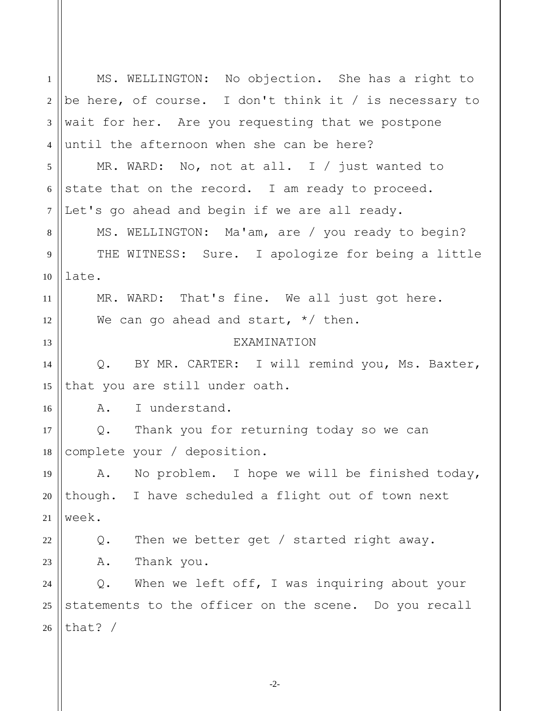1 2 3 4 5 6 7 8 9 10 11 12 13 14 15 16 17 18 19 20 21 22 23 24 25 26 MS. WELLINGTON: No objection. She has a right to be here, of course. I don't think it / is necessary to wait for her. Are you requesting that we postpone until the afternoon when she can be here? MR. WARD: No, not at all. I / just wanted to state that on the record. I am ready to proceed. Let's go ahead and begin if we are all ready. MS. WELLINGTON: Ma'am, are / you ready to begin? THE WITNESS: Sure. I apologize for being a little late. MR. WARD: That's fine. We all just got here. We can go ahead and start,  $*/$  then. **EXAMINATION** Q. BY MR. CARTER: I will remind you, Ms. Baxter, that you are still under oath. A. I understand. Q. Thank you for returning today so we can complete your / deposition. A. No problem. I hope we will be finished today, though. I have scheduled a flight out of town next week. Q. Then we better get / started right away. A. Thank you. Q. When we left off, I was inquiring about your statements to the officer on the scene. Do you recall that? /

-2-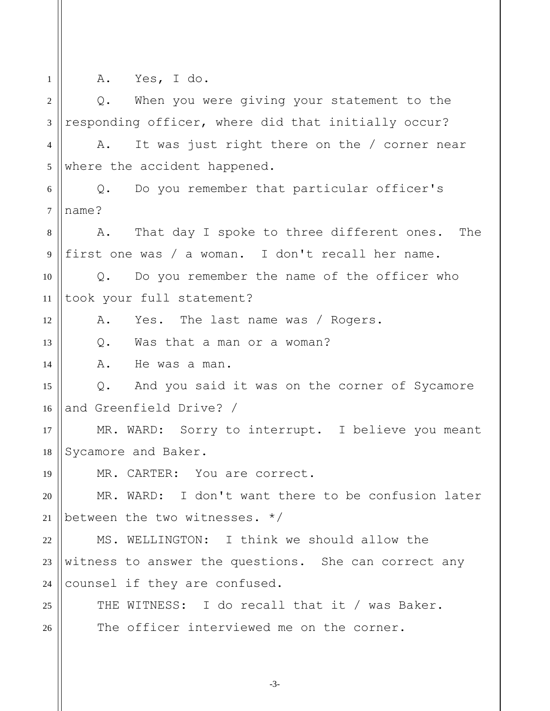1 2 3 4 5 6 7 8 9 10 11 12 13 14 15 16 17 18 19 20 21 22 23 24 25 26 A. Yes, I do. Q. When you were giving your statement to the responding officer, where did that initially occur? A. It was just right there on the / corner near where the accident happened. Q. Do you remember that particular officer's name? A. That day I spoke to three different ones. The first one was / a woman. I don't recall her name. Q. Do you remember the name of the officer who took your full statement? A. Yes. The last name was / Rogers. Q. Was that a man or a woman? A. He was a man. Q. And you said it was on the corner of Sycamore and Greenfield Drive? / MR. WARD: Sorry to interrupt. I believe you meant Sycamore and Baker. MR. CARTER: You are correct. MR. WARD: I don't want there to be confusion later between the two witnesses. \*/ MS. WELLINGTON: I think we should allow the witness to answer the questions. She can correct any counsel if they are confused. THE WITNESS: I do recall that it / was Baker. The officer interviewed me on the corner.

-3-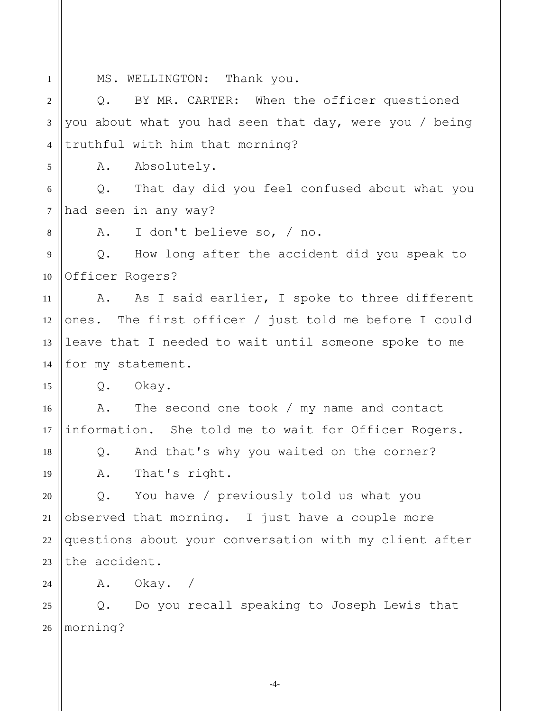1 2 3 4 5 6 7 8 9 10 11 12 13 14 15 16 17 18 19 20 21 22 23 24 25 26 MS. WELLINGTON: Thank you. Q. BY MR. CARTER: When the officer questioned you about what you had seen that day, were you / being truthful with him that morning? A. Absolutely. Q. That day did you feel confused about what you had seen in any way? A. I don't believe so, / no. Q. How long after the accident did you speak to Officer Rogers? A. As I said earlier, I spoke to three different ones. The first officer / just told me before I could leave that I needed to wait until someone spoke to me for my statement. Q. Okay. A. The second one took / my name and contact information. She told me to wait for Officer Rogers. Q. And that's why you waited on the corner? A. That's right. Q. You have / previously told us what you observed that morning. I just have a couple more questions about your conversation with my client after the accident. A. Okay. / Q. Do you recall speaking to Joseph Lewis that morning?

-4-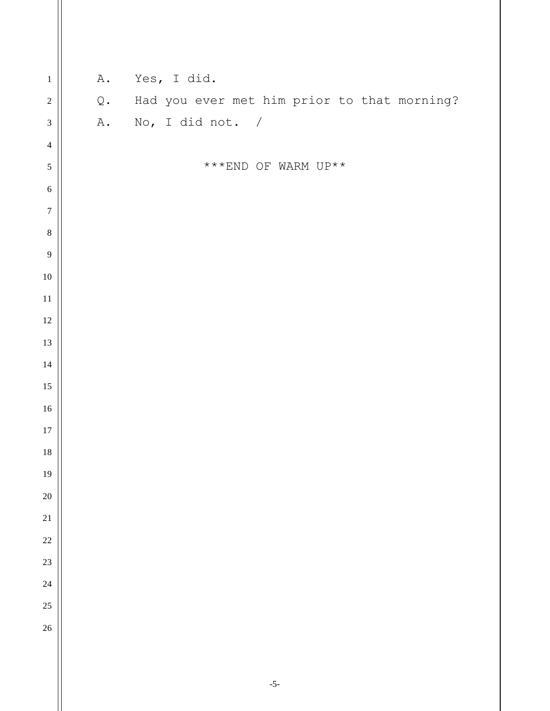| $\,1$            | A.            | Yes, I did.                                        |
|------------------|---------------|----------------------------------------------------|
| $\overline{c}$   | $\mathbb Q$ . | Had you ever met him prior to that morning?        |
| 3                |               | A. No, I did not. /                                |
| $\overline{4}$   |               |                                                    |
| 5                |               | $^{\star\;\star\;\star} \textsc{END}$ OF WARM UP** |
| $\sqrt{6}$       |               |                                                    |
| $\sqrt{ }$       |               |                                                    |
| $\,8\,$          |               |                                                    |
| $\boldsymbol{9}$ |               |                                                    |
| $10\,$           |               |                                                    |
| $11\,$           |               |                                                    |
| $12\,$           |               |                                                    |
| $13\,$           |               |                                                    |
| $14\,$           |               |                                                    |
| $15\,$           |               |                                                    |
| $16\,$           |               |                                                    |
| 17               |               |                                                    |
| $18\,$           |               |                                                    |
| 19               |               |                                                    |
| $20\,$           |               |                                                    |
| 21               |               |                                                    |
| 22               |               |                                                    |
| 23               |               |                                                    |
| 24               |               |                                                    |
| 25               |               |                                                    |
| 26               |               |                                                    |
|                  |               |                                                    |

 $\parallel$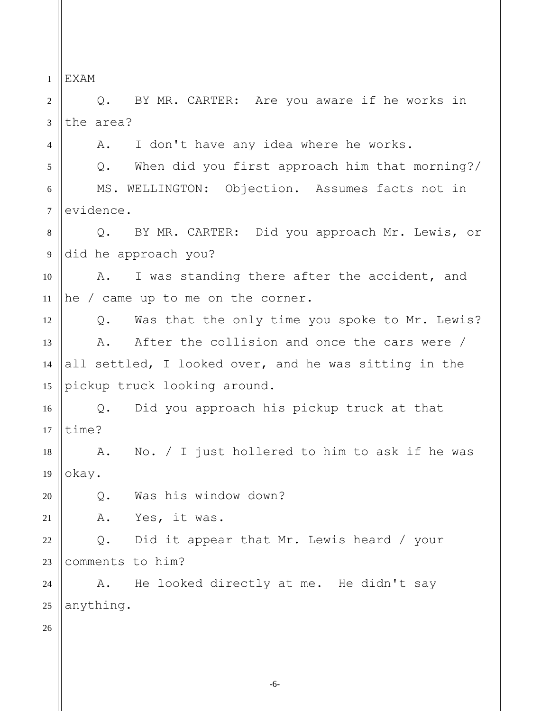1 EXAM

4

2 3 Q. BY MR. CARTER: Are you aware if he works in the area?

A. I don't have any idea where he works.

5 6 7 Q. When did you first approach him that morning?/ MS. WELLINGTON: Objection. Assumes facts not in evidence.

8 9 Q. BY MR. CARTER: Did you approach Mr. Lewis, or did he approach you?

10 11 A. I was standing there after the accident, and he / came up to me on the corner.

12 13 14 15 Q. Was that the only time you spoke to Mr. Lewis? A. After the collision and once the cars were / all settled, I looked over, and he was sitting in the pickup truck looking around.

16 17 Q. Did you approach his pickup truck at that time?

18 19 A. No. / I just hollered to him to ask if he was okay.

Q. Was his window down?

21 A. Yes, it was.

22 23 Q. Did it appear that Mr. Lewis heard / your comments to him?

24 25 A. He looked directly at me. He didn't say anything.

26

20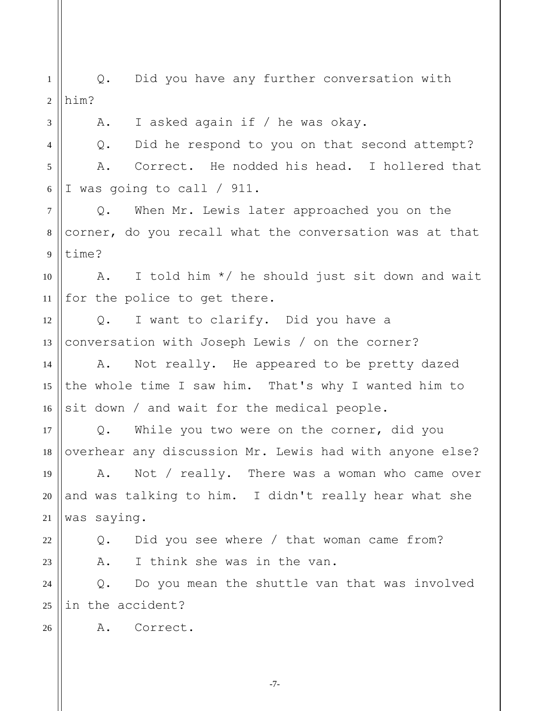1 2 3 4 5 6 7 8 9 10 11 12 13 14 15 16 17 18 19 20 21 22 23 24 25 26 Q. Did you have any further conversation with him? A. I asked again if / he was okay. Q. Did he respond to you on that second attempt? A. Correct. He nodded his head. I hollered that I was going to call / 911. Q. When Mr. Lewis later approached you on the corner, do you recall what the conversation was at that time? A. I told him \*/ he should just sit down and wait for the police to get there. Q. I want to clarify. Did you have a conversation with Joseph Lewis / on the corner? A. Not really. He appeared to be pretty dazed the whole time I saw him. That's why I wanted him to sit down / and wait for the medical people. Q. While you two were on the corner, did you overhear any discussion Mr. Lewis had with anyone else? A. Not / really. There was a woman who came over and was talking to him. I didn't really hear what she was saying. Q. Did you see where / that woman came from? A. I think she was in the van. Q. Do you mean the shuttle van that was involved in the accident? A. Correct.

-7-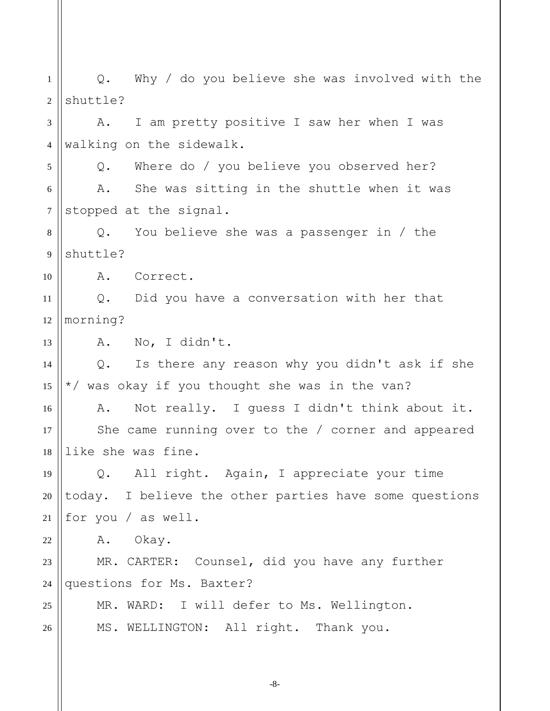1 2 3 4 5 6 7 8 9 10 11 12 13 14 15 16 17 18 19 20 21 22 23 24 25 26 Q. Why / do you believe she was involved with the shuttle? A. I am pretty positive I saw her when I was walking on the sidewalk. Q. Where do / you believe you observed her? A. She was sitting in the shuttle when it was stopped at the signal. Q. You believe she was a passenger in / the shuttle? A. Correct. Q. Did you have a conversation with her that morning? A. No, I didn't. Q. Is there any reason why you didn't ask if she \*/ was okay if you thought she was in the van? A. Not really. I guess I didn't think about it. She came running over to the / corner and appeared like she was fine. Q. All right. Again, I appreciate your time today. I believe the other parties have some questions for you / as well. A. Okay. MR. CARTER: Counsel, did you have any further questions for Ms. Baxter? MR. WARD: I will defer to Ms. Wellington. MS. WELLINGTON: All right. Thank you.

-8-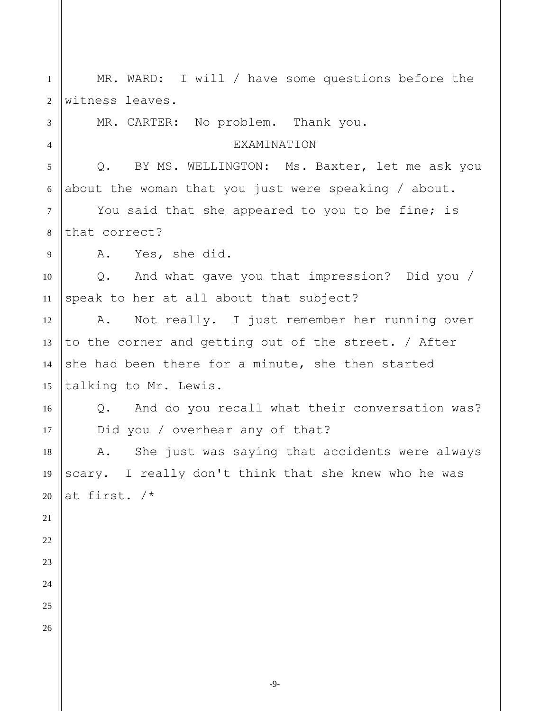| 1              | MR. WARD: I will / have some questions before the              |
|----------------|----------------------------------------------------------------|
| $\overline{2}$ | witness leaves.                                                |
| 3              | MR. CARTER: No problem. Thank you.                             |
| $\overline{4}$ | <b>EXAMINATION</b>                                             |
| 5              | BY MS. WELLINGTON: Ms. Baxter, let me ask you<br>$Q_{\bullet}$ |
| 6              | about the woman that you just were speaking / about.           |
| $\tau$         | You said that she appeared to you to be fine; is               |
| 8              | that correct?                                                  |
| 9              | A. Yes, she did.                                               |
| 10             | Q. And what gave you that impression? Did you /                |
| 11             | speak to her at all about that subject?                        |
| 12             | A. Not really. I just remember her running over                |
| 13             | to the corner and getting out of the street. / After           |
| 14             | she had been there for a minute, she then started              |
| 15             | talking to Mr. Lewis.                                          |
| 16             | Q. And do you recall what their conversation was?              |
| 17             | Did you / overhear any of that?                                |
| 18             | She just was saying that accidents were always<br>Α.           |
| 19             | scary. I really don't think that she knew who he was           |
| 20             | at first. /*                                                   |
| 21             |                                                                |
| $22\,$         |                                                                |
| 23             |                                                                |
| 24             |                                                                |
| 25             |                                                                |
| 26             |                                                                |
|                |                                                                |

Ш

-9-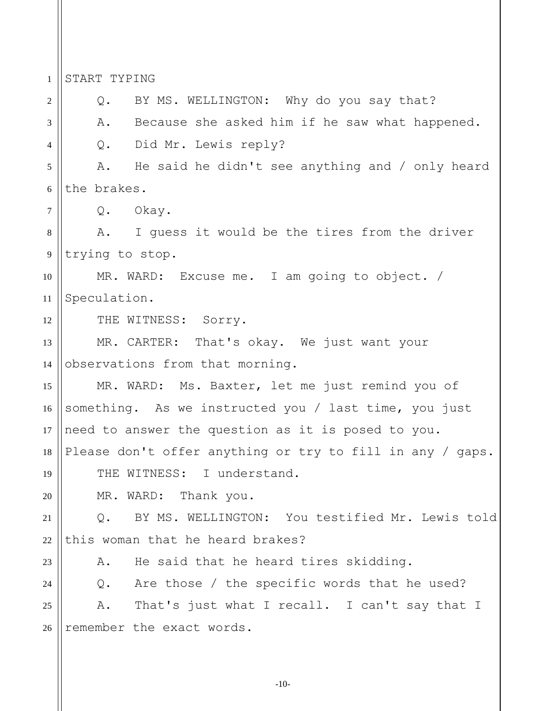1 2 3 4 5 6 7 8 9 10 11 12 13 14 15 16 17 18 19 20 21 22 23 24 25 26 START TYPING Q. BY MS. WELLINGTON: Why do you say that? A. Because she asked him if he saw what happened. Q. Did Mr. Lewis reply? A. He said he didn't see anything and / only heard the brakes. Q. Okay. A. I guess it would be the tires from the driver trying to stop. MR. WARD: Excuse me. I am going to object. / Speculation. THE WITNESS: Sorry. MR. CARTER: That's okay. We just want your observations from that morning. MR. WARD: Ms. Baxter, let me just remind you of something. As we instructed you / last time, you just need to answer the question as it is posed to you. Please don't offer anything or try to fill in any / gaps. THE WITNESS: I understand. MR. WARD: Thank you. Q. BY MS. WELLINGTON: You testified Mr. Lewis told this woman that he heard brakes? A. He said that he heard tires skidding. Q. Are those / the specific words that he used? A. That's just what I recall. I can't say that I remember the exact words.

-10-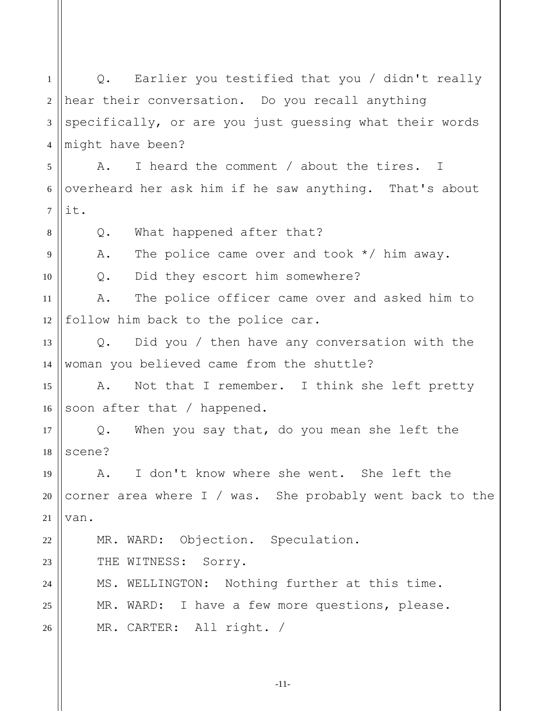1 2 3 4 5 6 7 8 9 10 11 12 13 14 15 16 17 18 19 20 21 22 23 24 25 26 Q. Earlier you testified that you / didn't really hear their conversation. Do you recall anything specifically, or are you just guessing what their words might have been? A. I heard the comment / about the tires. I overheard her ask him if he saw anything. That's about it. Q. What happened after that? A. The police came over and took \*/ him away. Q. Did they escort him somewhere? A. The police officer came over and asked him to follow him back to the police car. Q. Did you / then have any conversation with the woman you believed came from the shuttle? A. Not that I remember. I think she left pretty soon after that / happened. Q. When you say that, do you mean she left the scene? A. I don't know where she went. She left the corner area where I / was. She probably went back to the van. MR. WARD: Objection. Speculation. THE WITNESS: Sorry. MS. WELLINGTON: Nothing further at this time. MR. WARD: I have a few more questions, please. MR. CARTER: All right. /

-11-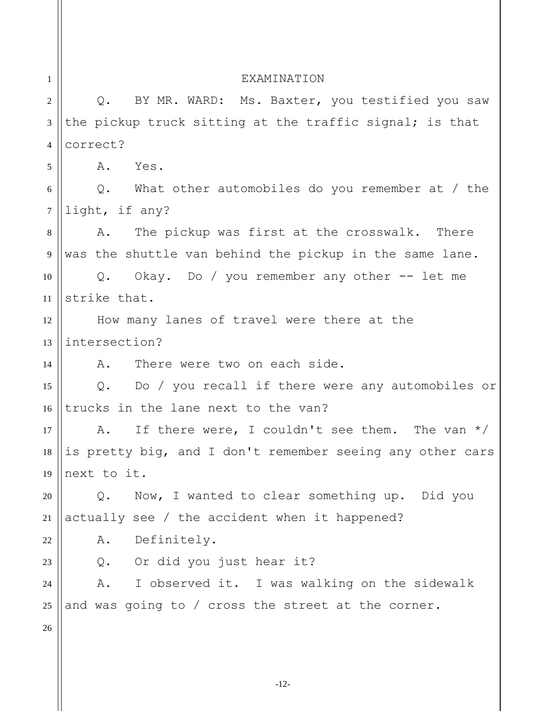| $\mathbf{1}$   | EXAMINATION                                               |  |  |
|----------------|-----------------------------------------------------------|--|--|
| $\overline{2}$ | Q. BY MR. WARD: Ms. Baxter, you testified you saw         |  |  |
| $\mathfrak{Z}$ | the pickup truck sitting at the traffic signal; is that   |  |  |
| $\overline{4}$ | correct?                                                  |  |  |
| 5              | Yes.<br>Α.                                                |  |  |
| 6              | $Q.$ What other automobiles do you remember at / the      |  |  |
| $\tau$         | light, if any?                                            |  |  |
| $8\,$          | The pickup was first at the crosswalk. There<br>Α.        |  |  |
| 9              | was the shuttle van behind the pickup in the same lane.   |  |  |
| 10             | Q. Okay. Do / you remember any other $--$ let me          |  |  |
| 11             | strike that.                                              |  |  |
| 12             | How many lanes of travel were there at the                |  |  |
| 13             | intersection?                                             |  |  |
| 14             | There were two on each side.<br>A.                        |  |  |
| 15             | Q. Do / you recall if there were any automobiles or       |  |  |
| 16             | trucks in the lane next to the van?                       |  |  |
| 17             | If there were, I couldn't see them. The van $*/$<br>A.    |  |  |
| 18             | is pretty big, and I don't remember seeing any other cars |  |  |
| 19             | next to it.                                               |  |  |
| 20             | Now, I wanted to clear something up. Did you<br>Q.        |  |  |
| 21             | actually see / the accident when it happened?             |  |  |
| 22             | Definitely.<br>Α.                                         |  |  |
| 23             | Q. Or did you just hear it?                               |  |  |
| 24             | I observed it. I was walking on the sidewalk<br>A.        |  |  |
| 25             | and was going to / cross the street at the corner.        |  |  |
| 26             |                                                           |  |  |
|                |                                                           |  |  |
|                |                                                           |  |  |

-12-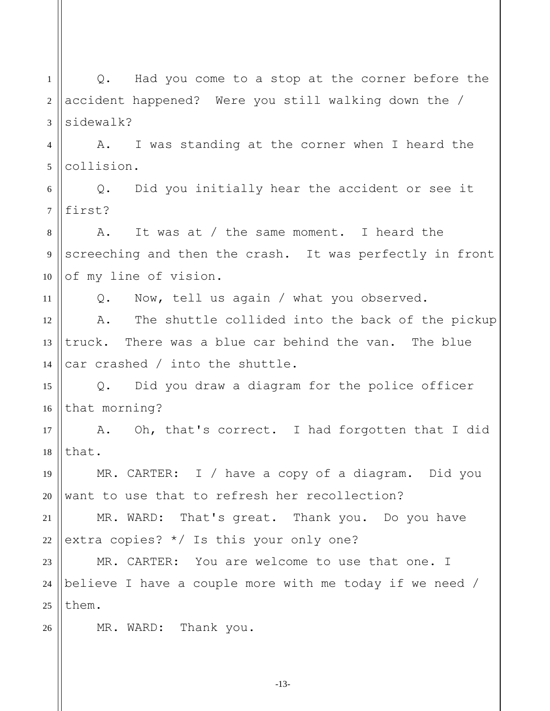1 2 3 4 5 6 7 8 9 10 11 12 13 14 15 16 17 18 19 20 21 22 23 24 25 26 Q. Had you come to a stop at the corner before the accident happened? Were you still walking down the / sidewalk? A. I was standing at the corner when I heard the collision. Q. Did you initially hear the accident or see it first? A. It was at / the same moment. I heard the screeching and then the crash. It was perfectly in front of my line of vision. Q. Now, tell us again / what you observed. A. The shuttle collided into the back of the pickup truck. There was a blue car behind the van. The blue car crashed / into the shuttle. Q. Did you draw a diagram for the police officer that morning? A. Oh, that's correct. I had forgotten that I did that. MR. CARTER: I / have a copy of a diagram. Did you want to use that to refresh her recollection? MR. WARD: That's great. Thank you. Do you have extra copies? \*/ Is this your only one? MR. CARTER: You are welcome to use that one. I believe I have a couple more with me today if we need / them. MR. WARD: Thank you.

-13-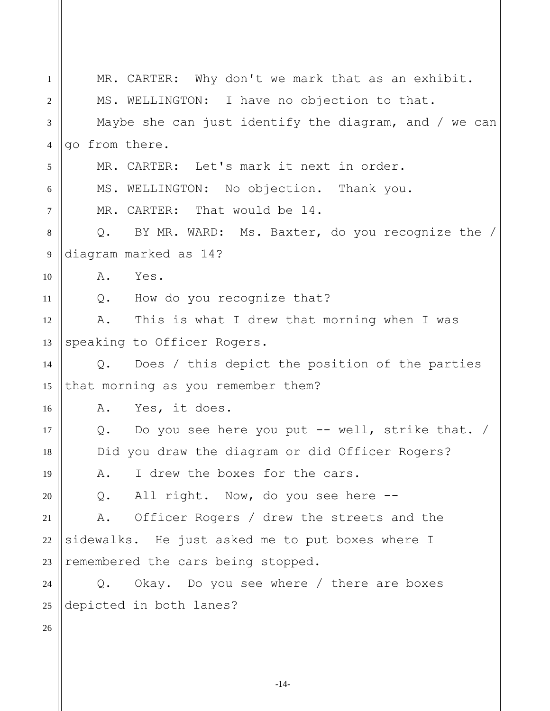| $\mathbf{1}$   | MR. CARTER: Why don't we mark that as an exhibit.                 |
|----------------|-------------------------------------------------------------------|
| 2              | MS. WELLINGTON: I have no objection to that.                      |
| 3              | Maybe she can just identify the diagram, and / we can             |
| $\overline{4}$ | go from there.                                                    |
| 5              | MR. CARTER: Let's mark it next in order.                          |
| 6              | MS. WELLINGTON: No objection. Thank you.                          |
| $\tau$         | MR. CARTER: That would be 14.                                     |
| 8              | Q. BY MR. WARD: Ms. Baxter, do you recognize the /                |
| 9              | diagram marked as 14?                                             |
| 10             | A.<br>Yes.                                                        |
| 11             | Q. How do you recognize that?                                     |
| 12             | This is what I drew that morning when I was<br>Α.                 |
| 13             | speaking to Officer Rogers.                                       |
| 14             | Does / this depict the position of the parties<br>Q.              |
| 15             | that morning as you remember them?                                |
| 16             | A. Yes, it does.                                                  |
| 17             | Do you see here you put -- well, strike that. /<br>$\mathsf{Q}$ . |
| 18             | Did you draw the diagram or did Officer Rogers?                   |
| 19             | I drew the boxes for the cars.<br>Α.                              |
| 20             | Q. All right. Now, do you see here --                             |
| 21             | Officer Rogers / drew the streets and the<br>Α.                   |
| 22             | sidewalks. He just asked me to put boxes where I                  |
| 23             | remembered the cars being stopped.                                |
| 24             | Okay. Do you see where / there are boxes<br>Q.                    |
| 25             | depicted in both lanes?                                           |
| 26             |                                                                   |
|                |                                                                   |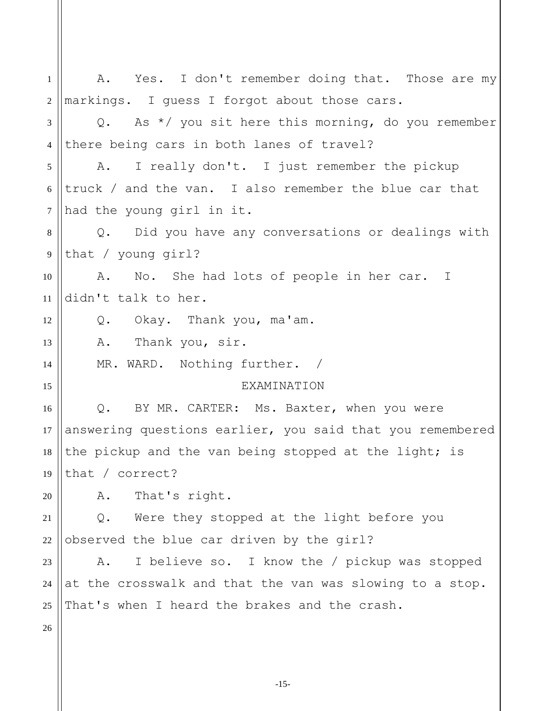| $\mathbf{1}$   | A. Yes. I don't remember doing that. Those are my         |
|----------------|-----------------------------------------------------------|
| 2              | markings. I guess I forgot about those cars.              |
| 3              | Q. As $*/$ you sit here this morning, do you remember     |
| $\overline{4}$ | there being cars in both lanes of travel?                 |
| 5              | I really don't. I just remember the pickup<br>A.          |
| 6              | truck / and the van. I also remember the blue car that    |
| $\tau$         | had the young girl in it.                                 |
| 8              | Q. Did you have any conversations or dealings with        |
| 9              | that / young $qirl$ ?                                     |
| 10             | No. She had lots of people in her car. I<br>Α.            |
| 11             | didn't talk to her.                                       |
| 12             | Q. Okay. Thank you, ma'am.                                |
| 13             | Thank you, sir.<br>A.                                     |
| 14             | MR. WARD. Nothing further. /                              |
| 15             | <b>EXAMINATION</b>                                        |
| 16             | BY MR. CARTER: Ms. Baxter, when you were<br>Q.            |
| 17             | answering questions earlier, you said that you remembered |
| 18             | the pickup and the van being stopped at the light; is     |
| 19             | that / $correct?$                                         |
| 20             | That's right.<br>Α.                                       |
| 21             | Were they stopped at the light before you<br>Q.           |
| 22             | observed the blue car driven by the girl?                 |
| 23             | I believe so. I know the / pickup was stopped<br>Α.       |
| 24             | at the crosswalk and that the van was slowing to a stop.  |
| 25             | That's when I heard the brakes and the crash.             |
| 26             |                                                           |
|                |                                                           |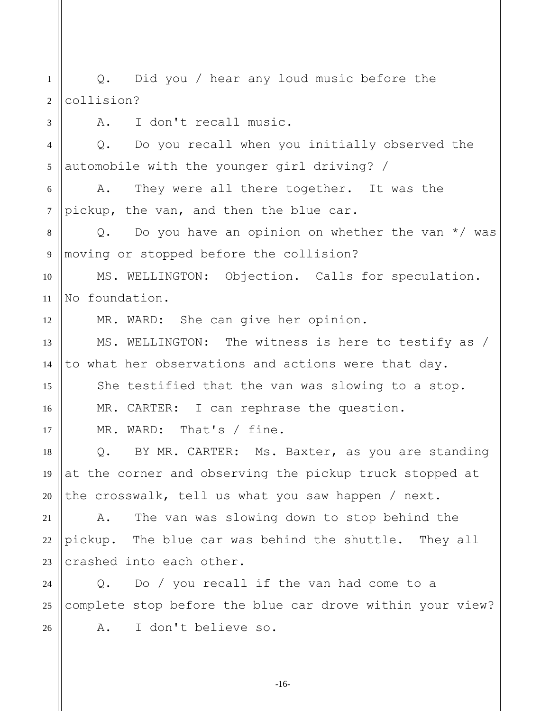1 2 3 4 5 6 7 8 9 10 11 12 13 14 15 16 17 18 19 20 21 22 23 24 25 26 Q. Did you / hear any loud music before the collision? A. I don't recall music. Q. Do you recall when you initially observed the automobile with the younger girl driving? / A. They were all there together. It was the pickup, the van, and then the blue car. Q. Do you have an opinion on whether the van  $*/$  was moving or stopped before the collision? MS. WELLINGTON: Objection. Calls for speculation. No foundation. MR. WARD: She can give her opinion. MS. WELLINGTON: The witness is here to testify as / to what her observations and actions were that day. She testified that the van was slowing to a stop. MR. CARTER: I can rephrase the question. MR. WARD: That's / fine. Q. BY MR. CARTER: Ms. Baxter, as you are standing at the corner and observing the pickup truck stopped at the crosswalk, tell us what you saw happen / next. A. The van was slowing down to stop behind the pickup. The blue car was behind the shuttle. They all crashed into each other. Q. Do / you recall if the van had come to a complete stop before the blue car drove within your view? A. I don't believe so.

-16-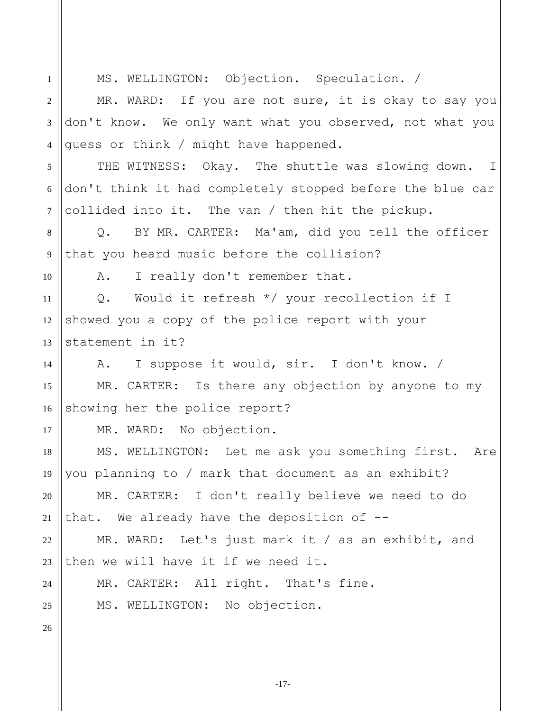1 2 3 4 5 6 7 8 9 10 11 12 13 14 15 16 17 18 19 20 21 22 23 24 25 26 MS. WELLINGTON: Objection. Speculation. / MR. WARD: If you are not sure, it is okay to say you don't know. We only want what you observed, not what you guess or think / might have happened. THE WITNESS: Okay. The shuttle was slowing down. I don't think it had completely stopped before the blue car collided into it. The van / then hit the pickup. Q. BY MR. CARTER: Ma'am, did you tell the officer that you heard music before the collision? A. I really don't remember that. Q. Would it refresh \*/ your recollection if I showed you a copy of the police report with your statement in it? A. I suppose it would, sir. I don't know. / MR. CARTER: Is there any objection by anyone to my showing her the police report? MR. WARD: No objection. MS. WELLINGTON: Let me ask you something first. Are you planning to / mark that document as an exhibit? MR. CARTER: I don't really believe we need to do that. We already have the deposition of -- MR. WARD: Let's just mark it / as an exhibit, and then we will have it if we need it. MR. CARTER: All right. That's fine. MS. WELLINGTON: No objection.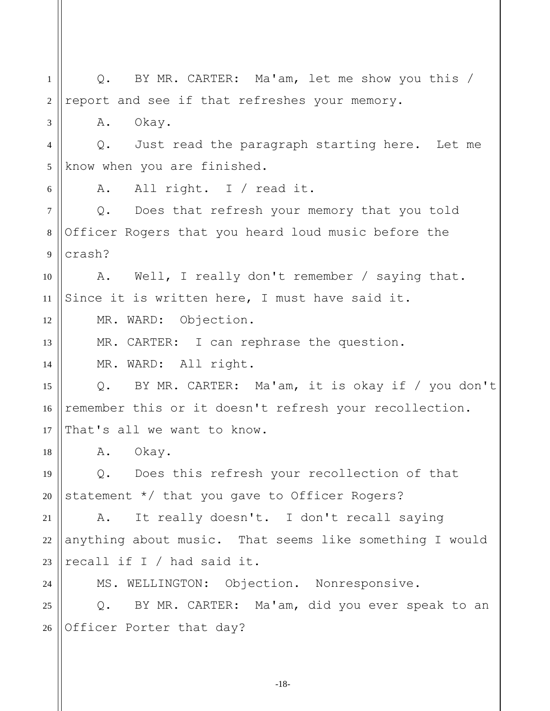1 2 3 4 5 6 7 8 9 10 11 12 13 14 15 16 17 18 19 20 21 22 23 24 25 26 Q. BY MR. CARTER: Ma'am, let me show you this / report and see if that refreshes your memory. A. Okay. Q. Just read the paragraph starting here. Let me know when you are finished. A. All right. I / read it. Q. Does that refresh your memory that you told Officer Rogers that you heard loud music before the crash? A. Well, I really don't remember / saying that. Since it is written here, I must have said it. MR. WARD: Objection. MR. CARTER: I can rephrase the question. MR. WARD: All right. Q. BY MR. CARTER: Ma'am, it is okay if / you don't remember this or it doesn't refresh your recollection. That's all we want to know. A. Okay. Q. Does this refresh your recollection of that statement \*/ that you gave to Officer Rogers? A. It really doesn't. I don't recall saying anything about music. That seems like something I would recall if I / had said it. MS. WELLINGTON: Objection. Nonresponsive. Q. BY MR. CARTER: Ma'am, did you ever speak to an Officer Porter that day?

-18-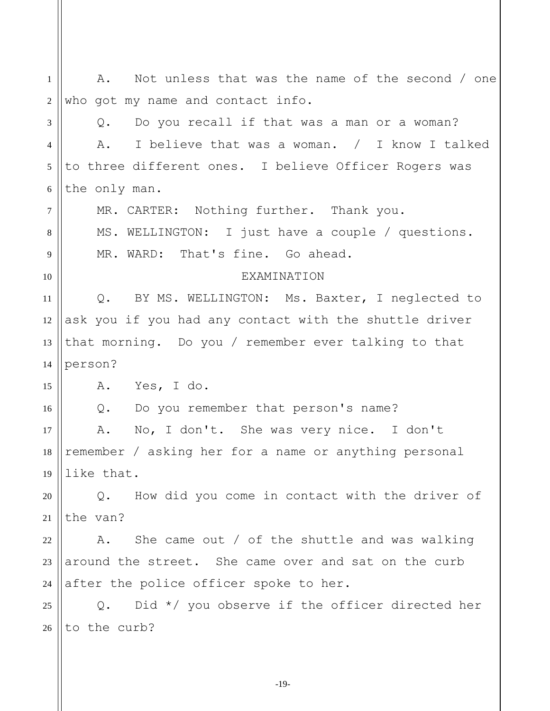1 2 3 4 5 6 7 8 9 10 11 12 13 14 15 16 17 18 19 20 21 22 23 24 25 26 A. Not unless that was the name of the second / one who got my name and contact info. Q. Do you recall if that was a man or a woman? A. I believe that was a woman. / I know I talked to three different ones. I believe Officer Rogers was the only man. MR. CARTER: Nothing further. Thank you. MS. WELLINGTON: I just have a couple / questions. MR. WARD: That's fine. Go ahead. EXAMINATION Q. BY MS. WELLINGTON: Ms. Baxter, I neglected to ask you if you had any contact with the shuttle driver that morning. Do you / remember ever talking to that person? A. Yes, I do. Q. Do you remember that person's name? A. No, I don't. She was very nice. I don't remember / asking her for a name or anything personal like that. Q. How did you come in contact with the driver of the van? A. She came out / of the shuttle and was walking around the street. She came over and sat on the curb after the police officer spoke to her. Q. Did \*/ you observe if the officer directed her to the curb?

-19-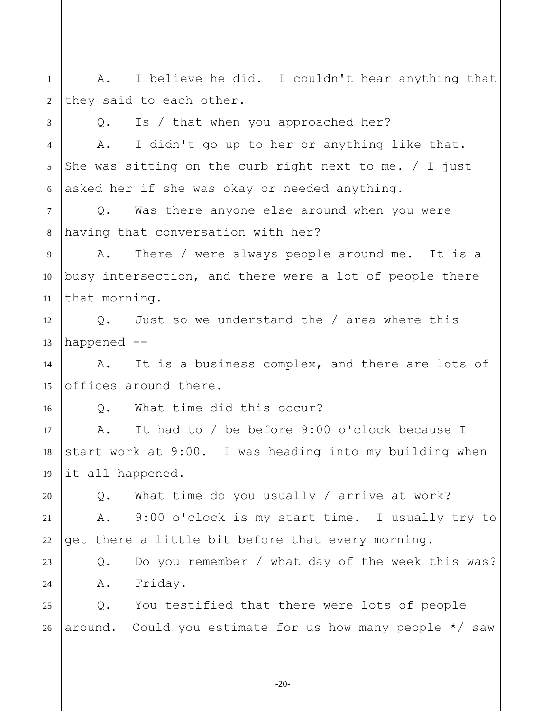1 2 3 4 5 6 7 8 9 10 11 12 13 14 15 16 17 18 19 20 21 22 23 24 25 26 A. I believe he did. I couldn't hear anything that they said to each other. Q. Is / that when you approached her? A. I didn't go up to her or anything like that. She was sitting on the curb right next to me.  $/$  I just asked her if she was okay or needed anything. Q. Was there anyone else around when you were having that conversation with her? A. There / were always people around me. It is a busy intersection, and there were a lot of people there that morning. Q. Just so we understand the / area where this happened -- A. It is a business complex, and there are lots of offices around there. Q. What time did this occur? A. It had to / be before 9:00 o'clock because I start work at 9:00. I was heading into my building when it all happened. Q. What time do you usually / arrive at work? A. 9:00 o'clock is my start time. I usually try to get there a little bit before that every morning. Q. Do you remember / what day of the week this was? A. Friday. Q. You testified that there were lots of people around. Could you estimate for us how many people \*/ saw

-20-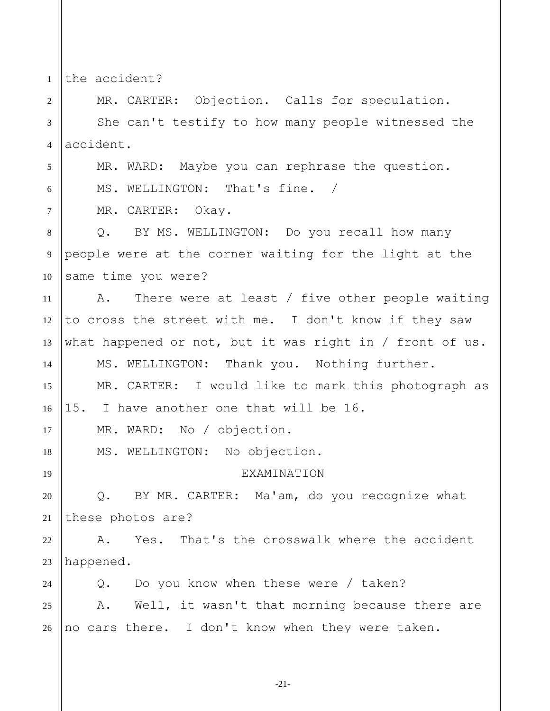1 the accident?

5

6

7

17

18

19

2 3 4 MR. CARTER: Objection. Calls for speculation. She can't testify to how many people witnessed the accident.

MR. WARD: Maybe you can rephrase the question.

MS. WELLINGTON: That's fine. /

MR. CARTER: Okay.

8 9 10 Q. BY MS. WELLINGTON: Do you recall how many people were at the corner waiting for the light at the same time you were?

11 12 13 14 15 A. There were at least / five other people waiting to cross the street with me. I don't know if they saw what happened or not, but it was right in / front of us. MS. WELLINGTON: Thank you. Nothing further. MR. CARTER: I would like to mark this photograph as

16 15. I have another one that will be 16.

MR. WARD: No / objection.

MS. WELLINGTON: No objection.

## EXAMINATION

20 21 Q. BY MR. CARTER: Ma'am, do you recognize what these photos are?

22 23 A. Yes. That's the crosswalk where the accident happened.

24 25 Q. Do you know when these were / taken? A. Well, it wasn't that morning because there are

26 no cars there. I don't know when they were taken.

-21-